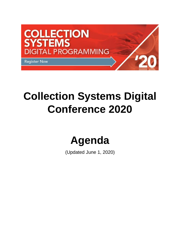

# **Collection Systems Digital Conference 2020**

# **Agenda**

(Updated June 1, 2020)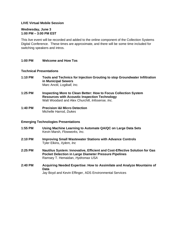## **LIVE Virtual Mobile Session**

#### **Wednesday, June 3 1:00 PM – 3:00 PM EST**

This live event will be recorded and added to the online component of the Collection Systems Digital Conference. These times are approximate, and there will be some time included for switching speakers and intros.

#### **1:00 PM Welcome and How Tos**

#### **Technical Presentations**

- **1:10 PM Tools and Technics for Injection Grouting to stop Groundwater Infiltration in Municipal Sewers** Marc Anctil, *Logiball, Inc.*
- **1:25 PM Inspecting More to Clean Better: How to Focus Collection System Resources with Acoustic Inspection Technology** Walt Woodard and Alex Churchill, *Infosense, Inc.*
- **1:40 PM Precision I&I Micro Detection** Michelle Harrod, *Dukes*

#### **Emerging Technologies Presentations**

- **1:55 PM Using Machine Learning to Automate QA/QC on Large Data Sets** Kevin Marsh, *Flowworks, Inc.*
- **2:10 PM Improving Small Wastewater Stations with Advance Controls** Tyler Elkins, *Xylem, Inc*
- **2:25 PM Nautilus System: Innovative, Efficient and Cost-Effective Solution for Gas Pocket Detection in Large Diameter Pressure Pipelines** Ramsey T. Hemaidan, *Hydromax USA*
- **2:40 PM Acquiring Needed Expertise: How to Assimilate and Analyze Mountains of Data** Jay Boyd and Kevin Effinger, ADS Environmental Services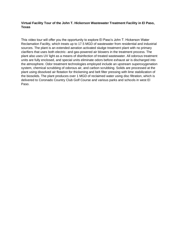# **Virtual Facility Tour of the John T. Hickerson Wastewater Treatment Facility in El Paso, Texas**

This video tour will offer you the opportunity to explore El Paso's John T. Hickerson Water Reclamation Facility, which treats up to 17.5 MGD of wastewater from residential and industrial sources. The plant is an extended aeration activated sludge treatment plant with no primary clarifiers that uses both electric- and gas-powered air blowers in the treatment process. The plant also uses UV light as a means of disinfection of treated wastewater. All odorous treatment units are fully enclosed, and special units eliminate odors before exhaust air is discharged into the atmosphere. Odor treatment technologies employed include an upstream superoxygenation system, chemical scrubbing of odorous air, and carbon scrubbing. Solids are processed at the plant using dissolved air flotation for thickening and belt filter pressing with lime stabilization of the biosolids. The plant produces over 1 MGD of reclaimed water using disc filtration, which is delivered to Coronado Country Club Golf Course and various parks and schools in west El Paso.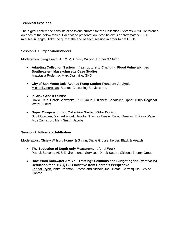# **Technical Sessions**

The digital conference consists of sessions curated for the Collection Systems 2020 Conference on each of the below topics. Each video presentation listed below is approximately 15-20 minutes in length. Take the quiz at the end of each session in order to get PDHs.

# **Session 1: Pump Stations/Odors**

**Moderators:** Greg Heath, AECOM**;** Christy Willson, Horner & Shifrin

- **Adapting Collection System Infrastructure to Changing Flood Vulnerabilities Southeastern Massachusetts Case Studies** Anastasia Rudenko, Marc Drainville, GHD
- **City of San Mateo Dale Avenue Pump Station Transient Analysis** Michael Georgalas, Stantec Consulting Services Inc.
- **It Sticks And It Stinks!** David Trejo, Derek Schwanke, RJN Group; Elizabeth Boddicker, Upper Trinity Regional Water District
- **Super Oxygenation for Collection System Odor Control** Scott Cowden, Michael Ancell, Jacobs; Thomas Cieslik, David Ornelas, El Paso Water; Aide Zamarron; Mark Smith, Jacobs

# **Session 2: Inflow and Infiltration**

**Moderators:** Christy Willson, Horner & Shifrin; Diane Grossenheider, Black & Veatch

- **The Seduction of Depth-only Measurement for I/I Work** Patrick Stevens, ADS Environmental Services; Derek Sutton, Citizens Energy Group
- **How Much Rainwater Are You Treating? Solutions and Budgeting for Effective I&I Reduction for a TCEQ SSO Initiative from Conroe's Perspective** Kendall Ryan, Ishita Rahman, Freese and Nichols, Inc.; Rafael Carrasquillo, City of Conroe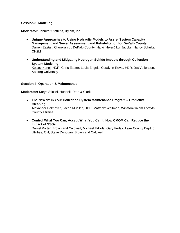## **Session 3: Modeling**

**Moderator:** Jennifer Steffens, Xylem, Inc.

- **Unique Approaches to Using Hydraulic Models to Assist System Capacity Management and Sewer Assessment and Rehabilitation for DeKalb County** Darren Eastall, Chunxian Li, DeKalb County; Haiyi (Helen) Lu, Jacobs; Nancy Schultz, CH2M
- **Understanding and Mitigating Hydrogen Sulfide Impacts through Collection System Modeling** Kelsey Kenel, HDR; Chris Easter; Louis Engels; Coralynn Revis, HDR; Jes Vollertsen, Aalborg University

## **Session 4: Operation & Maintenance**

**Moderator:** Karyn Stickel, Hubbell, Roth & Clark

- **The New 'P' in Your Collection System Maintenance Program – Predictive Cleaning** Alexander Palmatier, Jacob Mueller, HDR; Matthew Whitman, Winston-Salem Forsyth County Utilities
- **Control What You Can, Accept What You Can't: How CMOM Can Reduce the Impact of SSOs**

Daniel Porter, Brown and Caldwell; Michael Erkkila; Gary Fedak, Lake County Dept. of Utilities, OH; Steve Donovan, Brown and Caldwell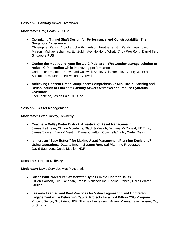## **Session 5: Sanitary Sewer Overflows**

**Moderator:** Greg Heath, AECOM

- **Optimizing Tunnel Shaft Design for Performance and Constructability: The Singapore Experience** Christopher Ranck, Arcadis; John Richardson; Heather Smith, Randy Lagumbay, Arcadis; Michael Schumas, Ed. Zublin AG; Ho Hong Whatt, Chua Wei Rong, Darryl Tan, Singapore PUB
- **Getting the most out of your limited CIP dollars – Wet weather storage solution to reduce CIP spending while improving performance** Carlos Toro-Escobar, Brown and Caldwell; Ashley Yeh, Berkeley County Water and Sanitation; A. Retana, Brown and Caldwell
- **Achieving Consent Order Compliance: Comprehensive Mini-Basin Planning and Rehabilitation to Eliminate Sanitary Sewer Overflows and Reduce Hydraulic Overloads**

Joel Kostelac, Josiah Bair, GHD Inc.

## **Session 6: Asset Management**

**Moderator:** Peter Garvey, Dewberry

- **Coachella Valley Water District: A Festival of Asset Management** James Reitmeier, Clinton McAdams, Black & Veatch; Bethany McDonald, HDR Inc; James Strayer, Black & Veatch; Daniel Charlton, Coachella Valley Water District
- **Is there an "Easy Button" for Making Asset Management Planning Decisions? Using Operational Data to Inform System Renewal Planning Processes** David Saunders, Jacob Mueller, HDR

# **Session 7: Project Delivery**

**Moderator:** David Servidio, Mott Macdonald

- **Successful Procedure: Wastewater Bypass in the Heart of Dallas** Cullen Carlson, Erin Flanagan, Freese & Nichols Inc; Regina Stencel, Dallas Water **Utilities**
- **Lessons Learned and Best Practices for Value Engineering and Contractor Engagement while Delivering Capital Projects for a \$2.4 Billion CSO Program** Vincent Genco, Scott Aurit HDR; Thomas Heinemann; Adam Wilmes, Jake Hansen, City of Omaha